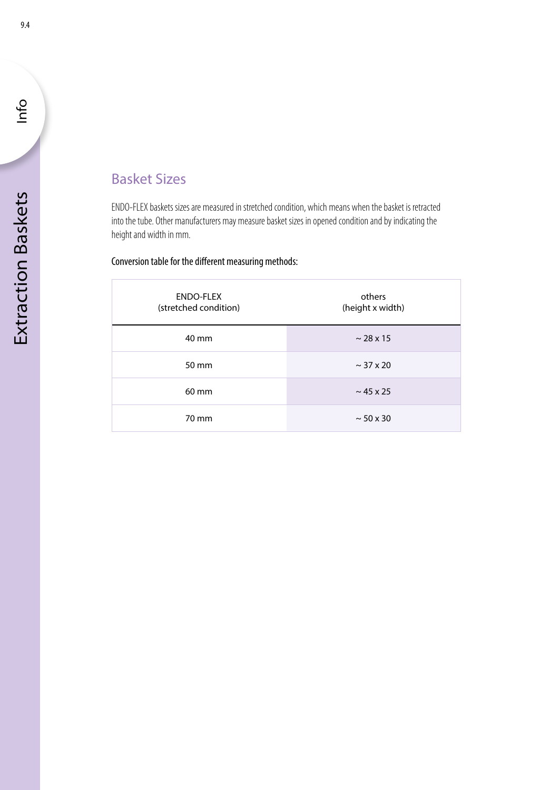## Basket Sizes

ENDO-FLEX baskets sizes are measured in stretched condition, which means when the basket is retracted into the tube. Other manufacturers may measure basket sizes in opened condition and by indicating the height and width in mm.

## Conversion table for the different measuring methods:

| <b>ENDO-FLEX</b><br>(stretched condition) | others<br>(height x width) |
|-------------------------------------------|----------------------------|
|                                           |                            |
| 40 mm                                     | $\sim$ 28 x 15             |
| 50 mm                                     | $\sim$ 37 x 20             |
| 60 mm                                     | $\sim$ 45 x 25             |
| 70 mm                                     | $\sim$ 50 x 30             |

Info